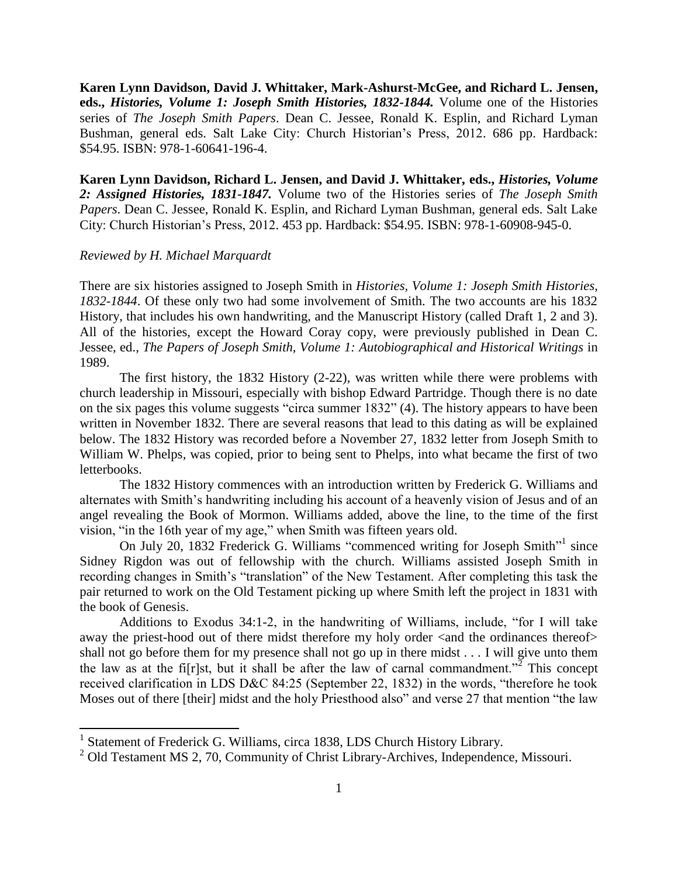**Karen Lynn Davidson, David J. Whittaker, Mark-Ashurst-McGee, and Richard L. Jensen, eds.,** *Histories, Volume 1: Joseph Smith Histories, 1832-1844.* Volume one of the Histories series of *The Joseph Smith Papers*. Dean C. Jessee, Ronald K. Esplin, and Richard Lyman Bushman, general eds. Salt Lake City: Church Historian's Press, 2012. 686 pp. Hardback: \$54.95. ISBN: 978-1-60641-196-4.

**Karen Lynn Davidson, Richard L. Jensen, and David J. Whittaker, eds.,** *Histories, Volume 2: Assigned Histories, 1831-1847.* Volume two of the Histories series of *The Joseph Smith Papers*. Dean C. Jessee, Ronald K. Esplin, and Richard Lyman Bushman, general eds. Salt Lake City: Church Historian's Press, 2012. 453 pp. Hardback: \$54.95. ISBN: 978-1-60908-945-0.

## *Reviewed by H. Michael Marquardt*

There are six histories assigned to Joseph Smith in *Histories, Volume 1: Joseph Smith Histories, 1832-1844*. Of these only two had some involvement of Smith. The two accounts are his 1832 History, that includes his own handwriting, and the Manuscript History (called Draft 1, 2 and 3). All of the histories, except the Howard Coray copy, were previously published in Dean C. Jessee, ed., *The Papers of Joseph Smith, Volume 1: Autobiographical and Historical Writings* in 1989.

The first history, the 1832 History (2-22), was written while there were problems with church leadership in Missouri, especially with bishop Edward Partridge. Though there is no date on the six pages this volume suggests "circa summer 1832" (4). The history appears to have been written in November 1832. There are several reasons that lead to this dating as will be explained below. The 1832 History was recorded before a November 27, 1832 letter from Joseph Smith to William W. Phelps, was copied, prior to being sent to Phelps, into what became the first of two letterbooks.

The 1832 History commences with an introduction written by Frederick G. Williams and alternates with Smith's handwriting including his account of a heavenly vision of Jesus and of an angel revealing the Book of Mormon. Williams added, above the line, to the time of the first vision, "in the 16th year of my age," when Smith was fifteen years old.

On July 20, 1832 Frederick G. Williams "commenced writing for Joseph Smith"<sup>1</sup> since Sidney Rigdon was out of fellowship with the church. Williams assisted Joseph Smith in recording changes in Smith's "translation" of the New Testament. After completing this task the pair returned to work on the Old Testament picking up where Smith left the project in 1831 with the book of Genesis.

Additions to Exodus 34:1-2, in the handwriting of Williams, include, "for I will take away the priest-hood out of there midst therefore my holy order <and the ordinances thereof> shall not go before them for my presence shall not go up in there midst . . . I will give unto them the law as at the fi[r]st, but it shall be after the law of carnal commandment.<sup> $\frac{3}{2}$ </sup> This concept received clarification in LDS D&C 84:25 (September 22, 1832) in the words, "therefore he took Moses out of there [their] midst and the holy Priesthood also" and verse 27 that mention "the law

 1 Statement of Frederick G. Williams, circa 1838, LDS Church History Library.

<sup>&</sup>lt;sup>2</sup> Old Testament MS 2, 70, Community of Christ Library-Archives, Independence, Missouri.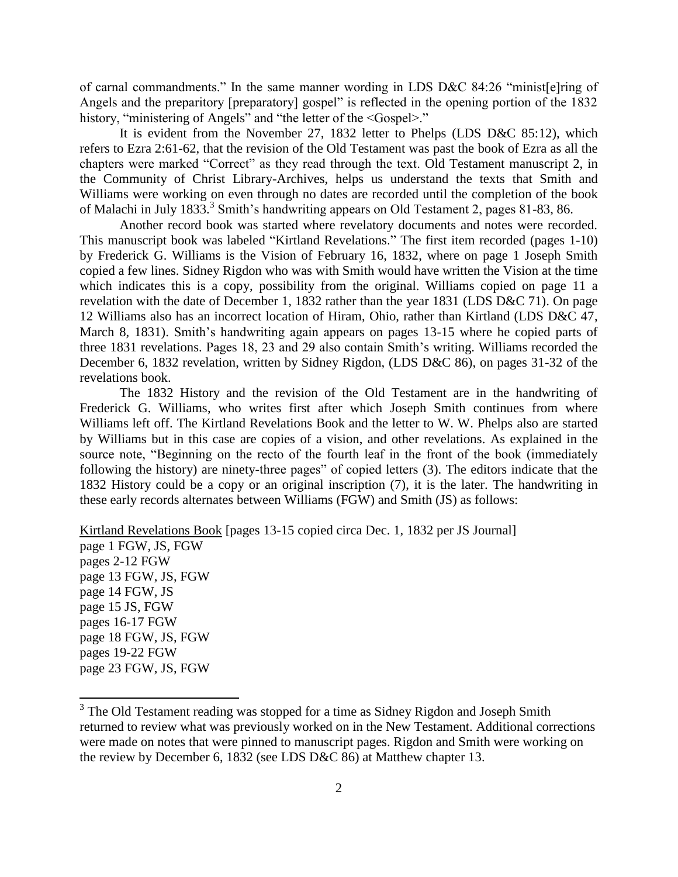of carnal commandments." In the same manner wording in LDS D&C 84:26 "minist[e]ring of Angels and the preparitory [preparatory] gospel" is reflected in the opening portion of the 1832 history, "ministering of Angels" and "the letter of the <Gospel>."

It is evident from the November 27, 1832 letter to Phelps (LDS D&C 85:12), which refers to Ezra 2:61-62, that the revision of the Old Testament was past the book of Ezra as all the chapters were marked "Correct" as they read through the text. Old Testament manuscript 2, in the Community of Christ Library-Archives, helps us understand the texts that Smith and Williams were working on even through no dates are recorded until the completion of the book of Malachi in July 1833.<sup>3</sup> Smith's handwriting appears on Old Testament 2, pages 81-83, 86.

Another record book was started where revelatory documents and notes were recorded. This manuscript book was labeled "Kirtland Revelations." The first item recorded (pages 1-10) by Frederick G. Williams is the Vision of February 16, 1832, where on page 1 Joseph Smith copied a few lines. Sidney Rigdon who was with Smith would have written the Vision at the time which indicates this is a copy, possibility from the original. Williams copied on page 11 a revelation with the date of December 1, 1832 rather than the year 1831 (LDS D&C 71). On page 12 Williams also has an incorrect location of Hiram, Ohio, rather than Kirtland (LDS D&C 47, March 8, 1831). Smith's handwriting again appears on pages 13-15 where he copied parts of three 1831 revelations. Pages 18, 23 and 29 also contain Smith's writing. Williams recorded the December 6, 1832 revelation, written by Sidney Rigdon, (LDS D&C 86), on pages 31-32 of the revelations book.

The 1832 History and the revision of the Old Testament are in the handwriting of Frederick G. Williams, who writes first after which Joseph Smith continues from where Williams left off. The Kirtland Revelations Book and the letter to W. W. Phelps also are started by Williams but in this case are copies of a vision, and other revelations. As explained in the source note, "Beginning on the recto of the fourth leaf in the front of the book (immediately following the history) are ninety-three pages" of copied letters (3). The editors indicate that the 1832 History could be a copy or an original inscription (7), it is the later. The handwriting in these early records alternates between Williams (FGW) and Smith (JS) as follows:

Kirtland Revelations Book [pages 13-15 copied circa Dec. 1, 1832 per JS Journal] page 1 FGW, JS, FGW pages 2-12 FGW page 13 FGW, JS, FGW page 14 FGW, JS page 15 JS, FGW pages 16-17 FGW page 18 FGW, JS, FGW pages 19-22 FGW page 23 FGW, JS, FGW

 $\overline{\phantom{a}}$ 

<sup>&</sup>lt;sup>3</sup> The Old Testament reading was stopped for a time as Sidney Rigdon and Joseph Smith returned to review what was previously worked on in the New Testament. Additional corrections were made on notes that were pinned to manuscript pages. Rigdon and Smith were working on the review by December 6, 1832 (see LDS D&C 86) at Matthew chapter 13.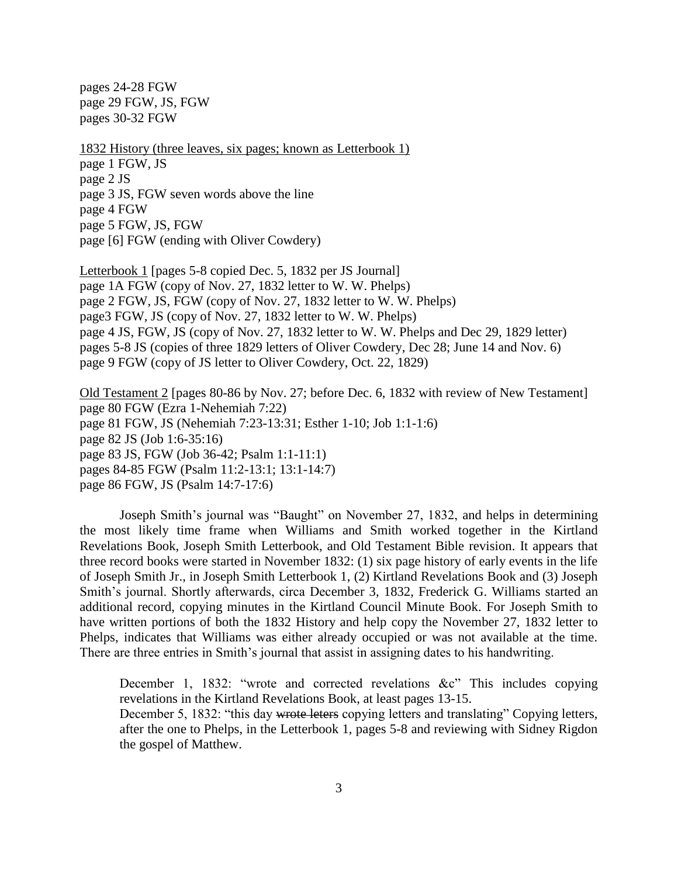pages 24-28 FGW page 29 FGW, JS, FGW pages 30-32 FGW

1832 History (three leaves, six pages; known as Letterbook 1) page 1 FGW, JS page 2 JS page 3 JS, FGW seven words above the line page 4 FGW page 5 FGW, JS, FGW page [6] FGW (ending with Oliver Cowdery)

Letterbook 1 [pages 5-8 copied Dec. 5, 1832 per JS Journal] page 1A FGW (copy of Nov. 27, 1832 letter to W. W. Phelps) page 2 FGW, JS, FGW (copy of Nov. 27, 1832 letter to W. W. Phelps) page3 FGW, JS (copy of Nov. 27, 1832 letter to W. W. Phelps) page 4 JS, FGW, JS (copy of Nov. 27, 1832 letter to W. W. Phelps and Dec 29, 1829 letter) pages 5-8 JS (copies of three 1829 letters of Oliver Cowdery, Dec 28; June 14 and Nov. 6) page 9 FGW (copy of JS letter to Oliver Cowdery, Oct. 22, 1829)

Old Testament 2 [pages 80-86 by Nov. 27; before Dec. 6, 1832 with review of New Testament] page 80 FGW (Ezra 1-Nehemiah 7:22) page 81 FGW, JS (Nehemiah 7:23-13:31; Esther 1-10; Job 1:1-1:6) page 82 JS (Job 1:6-35:16) page 83 JS, FGW (Job 36-42; Psalm 1:1-11:1) pages 84-85 FGW (Psalm 11:2-13:1; 13:1-14:7) page 86 FGW, JS (Psalm 14:7-17:6)

Joseph Smith's journal was "Baught" on November 27, 1832, and helps in determining the most likely time frame when Williams and Smith worked together in the Kirtland Revelations Book, Joseph Smith Letterbook, and Old Testament Bible revision. It appears that three record books were started in November 1832: (1) six page history of early events in the life of Joseph Smith Jr., in Joseph Smith Letterbook 1, (2) Kirtland Revelations Book and (3) Joseph Smith's journal. Shortly afterwards, circa December 3, 1832, Frederick G. Williams started an additional record, copying minutes in the Kirtland Council Minute Book. For Joseph Smith to have written portions of both the 1832 History and help copy the November 27, 1832 letter to Phelps, indicates that Williams was either already occupied or was not available at the time. There are three entries in Smith's journal that assist in assigning dates to his handwriting.

December 1, 1832: "wrote and corrected revelations &c" This includes copying revelations in the Kirtland Revelations Book, at least pages 13-15.

December 5, 1832: "this day wrote leters copying letters and translating" Copying letters, after the one to Phelps, in the Letterbook 1, pages 5-8 and reviewing with Sidney Rigdon the gospel of Matthew.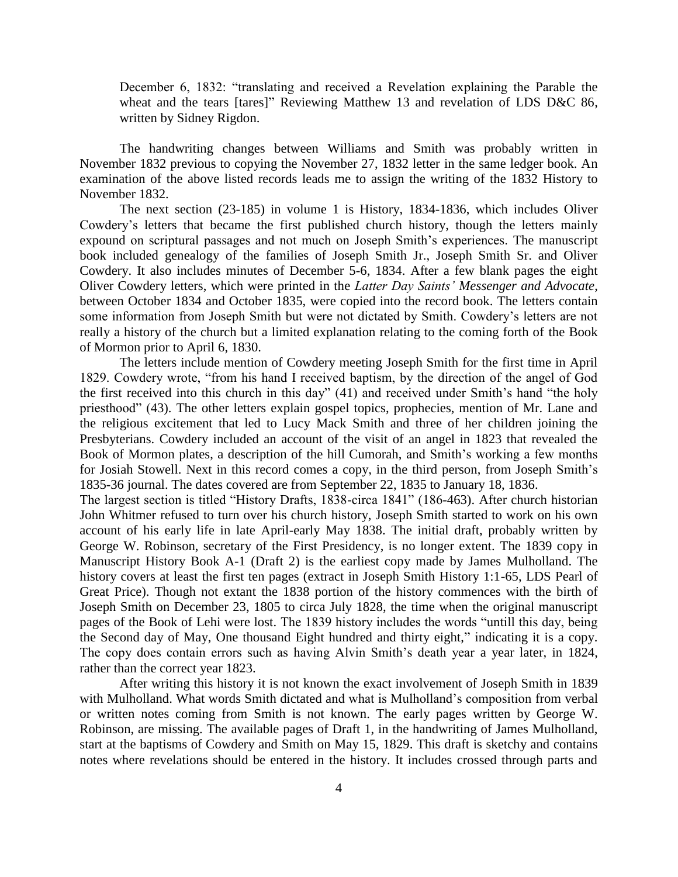December 6, 1832: "translating and received a Revelation explaining the Parable the wheat and the tears [tares]" Reviewing Matthew 13 and revelation of LDS D&C 86, written by Sidney Rigdon.

The handwriting changes between Williams and Smith was probably written in November 1832 previous to copying the November 27, 1832 letter in the same ledger book. An examination of the above listed records leads me to assign the writing of the 1832 History to November 1832.

The next section (23-185) in volume 1 is History, 1834-1836, which includes Oliver Cowdery's letters that became the first published church history, though the letters mainly expound on scriptural passages and not much on Joseph Smith's experiences. The manuscript book included genealogy of the families of Joseph Smith Jr., Joseph Smith Sr. and Oliver Cowdery. It also includes minutes of December 5-6, 1834. After a few blank pages the eight Oliver Cowdery letters, which were printed in the *Latter Day Saints' Messenger and Advocate*, between October 1834 and October 1835, were copied into the record book. The letters contain some information from Joseph Smith but were not dictated by Smith. Cowdery's letters are not really a history of the church but a limited explanation relating to the coming forth of the Book of Mormon prior to April 6, 1830.

The letters include mention of Cowdery meeting Joseph Smith for the first time in April 1829. Cowdery wrote, "from his hand I received baptism, by the direction of the angel of God the first received into this church in this day" (41) and received under Smith's hand "the holy priesthood" (43). The other letters explain gospel topics, prophecies, mention of Mr. Lane and the religious excitement that led to Lucy Mack Smith and three of her children joining the Presbyterians. Cowdery included an account of the visit of an angel in 1823 that revealed the Book of Mormon plates, a description of the hill Cumorah, and Smith's working a few months for Josiah Stowell. Next in this record comes a copy, in the third person, from Joseph Smith's 1835-36 journal. The dates covered are from September 22, 1835 to January 18, 1836.

The largest section is titled "History Drafts, 1838-circa 1841" (186-463). After church historian John Whitmer refused to turn over his church history, Joseph Smith started to work on his own account of his early life in late April-early May 1838. The initial draft, probably written by George W. Robinson, secretary of the First Presidency, is no longer extent. The 1839 copy in Manuscript History Book A-1 (Draft 2) is the earliest copy made by James Mulholland. The history covers at least the first ten pages (extract in Joseph Smith History 1:1-65, LDS Pearl of Great Price). Though not extant the 1838 portion of the history commences with the birth of Joseph Smith on December 23, 1805 to circa July 1828, the time when the original manuscript pages of the Book of Lehi were lost. The 1839 history includes the words "untill this day, being the Second day of May, One thousand Eight hundred and thirty eight," indicating it is a copy. The copy does contain errors such as having Alvin Smith's death year a year later, in 1824, rather than the correct year 1823.

After writing this history it is not known the exact involvement of Joseph Smith in 1839 with Mulholland. What words Smith dictated and what is Mulholland's composition from verbal or written notes coming from Smith is not known. The early pages written by George W. Robinson, are missing. The available pages of Draft 1, in the handwriting of James Mulholland, start at the baptisms of Cowdery and Smith on May 15, 1829. This draft is sketchy and contains notes where revelations should be entered in the history. It includes crossed through parts and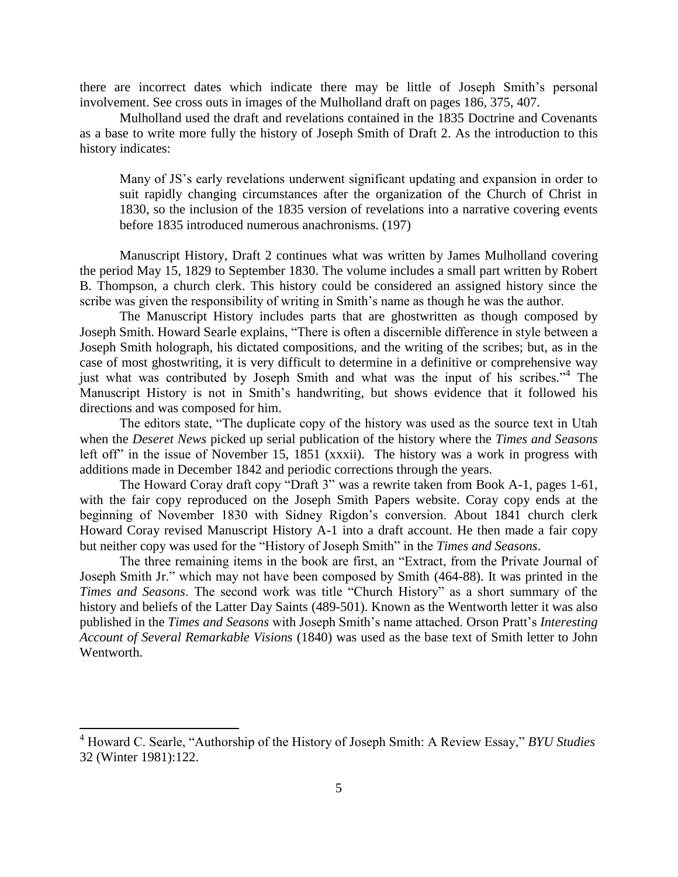there are incorrect dates which indicate there may be little of Joseph Smith's personal involvement. See cross outs in images of the Mulholland draft on pages 186, 375, 407.

Mulholland used the draft and revelations contained in the 1835 Doctrine and Covenants as a base to write more fully the history of Joseph Smith of Draft 2. As the introduction to this history indicates:

Many of JS's early revelations underwent significant updating and expansion in order to suit rapidly changing circumstances after the organization of the Church of Christ in 1830, so the inclusion of the 1835 version of revelations into a narrative covering events before 1835 introduced numerous anachronisms. (197)

Manuscript History, Draft 2 continues what was written by James Mulholland covering the period May 15, 1829 to September 1830. The volume includes a small part written by Robert B. Thompson, a church clerk. This history could be considered an assigned history since the scribe was given the responsibility of writing in Smith's name as though he was the author.

The Manuscript History includes parts that are ghostwritten as though composed by Joseph Smith. Howard Searle explains, "There is often a discernible difference in style between a Joseph Smith holograph, his dictated compositions, and the writing of the scribes; but, as in the case of most ghostwriting, it is very difficult to determine in a definitive or comprehensive way just what was contributed by Joseph Smith and what was the input of his scribes."<sup>4</sup> The Manuscript History is not in Smith's handwriting, but shows evidence that it followed his directions and was composed for him.

The editors state, "The duplicate copy of the history was used as the source text in Utah when the *Deseret News* picked up serial publication of the history where the *Times and Seasons*  left off" in the issue of November 15, 1851 (xxxii). The history was a work in progress with additions made in December 1842 and periodic corrections through the years.

The Howard Coray draft copy "Draft 3" was a rewrite taken from Book A-1, pages 1-61, with the fair copy reproduced on the Joseph Smith Papers website. Coray copy ends at the beginning of November 1830 with Sidney Rigdon's conversion. About 1841 church clerk Howard Coray revised Manuscript History A-1 into a draft account. He then made a fair copy but neither copy was used for the "History of Joseph Smith" in the *Times and Seasons*.

The three remaining items in the book are first, an "Extract, from the Private Journal of Joseph Smith Jr." which may not have been composed by Smith (464-88). It was printed in the *Times and Seasons*. The second work was title "Church History" as a short summary of the history and beliefs of the Latter Day Saints (489-501). Known as the Wentworth letter it was also published in the *Times and Seasons* with Joseph Smith's name attached. Orson Pratt's *Interesting Account of Several Remarkable Visions* (1840) was used as the base text of Smith letter to John Wentworth.

l

<sup>4</sup> Howard C. Searle, "Authorship of the History of Joseph Smith: A Review Essay," *BYU Studies* 32 (Winter 1981):122.